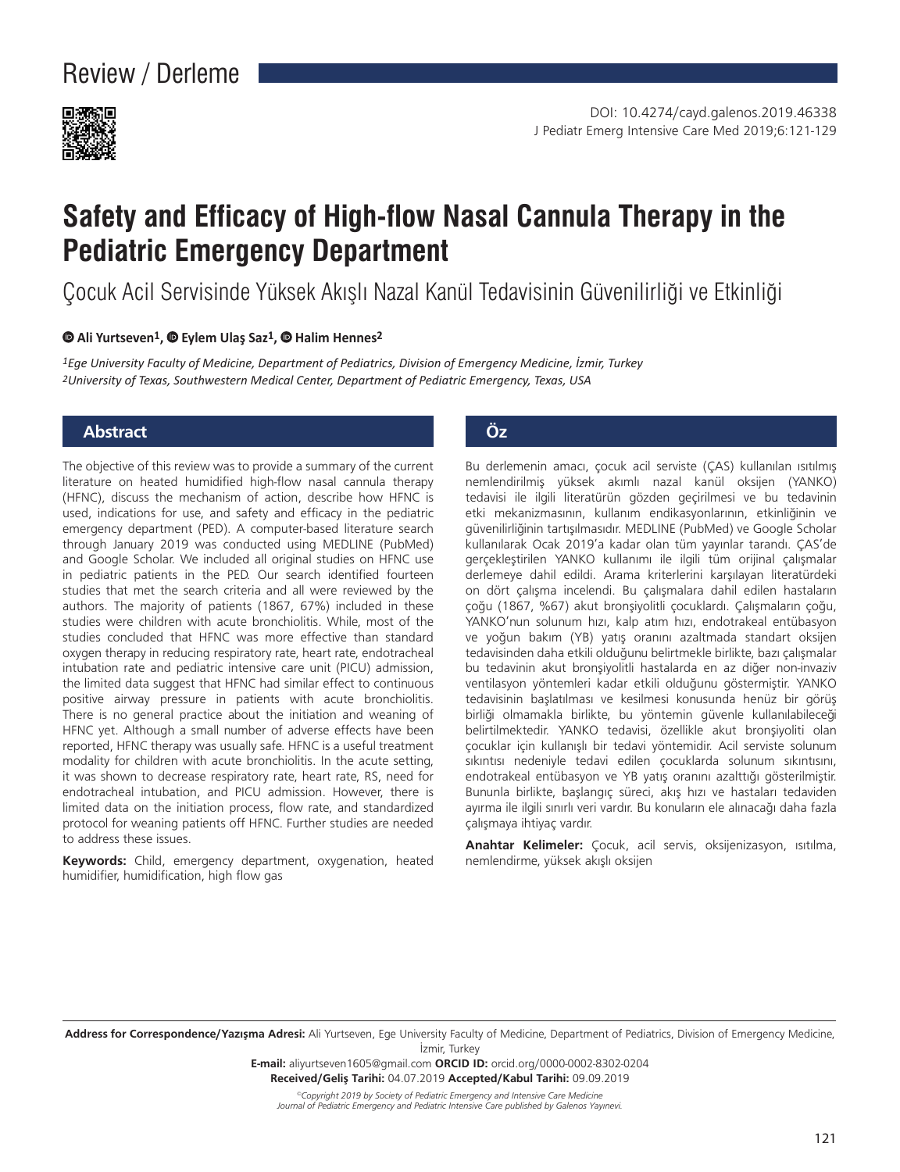

# **Safety and Efficacy of High-flow Nasal Cannula Therapy in the Pediatric Emergency Department**

Çocuk Acil Servisinde Yüksek Akışlı Nazal Kanül Tedavisinin Güvenilirliği ve Etkinliği

#### **Ali Yurtseven1,Eylem Ulaş Saz1,Halim Hennes2**

*1Ege University Faculty of Medicine, Department of Pediatrics, Division of Emergency Medicine, İzmir, Turkey 2University of Texas, Southwestern Medical Center, Department of Pediatric Emergency, Texas, USA*

#### **Abstract Öz**

The objective of this review was to provide a summary of the current literature on heated humidified high-flow nasal cannula therapy (HFNC), discuss the mechanism of action, describe how HFNC is used, indications for use, and safety and efficacy in the pediatric emergency department (PED). A computer-based literature search through January 2019 was conducted using MEDLINE (PubMed) and Google Scholar. We included all original studies on HFNC use in pediatric patients in the PED. Our search identified fourteen studies that met the search criteria and all were reviewed by the authors. The majority of patients (1867, 67%) included in these studies were children with acute bronchiolitis. While, most of the studies concluded that HFNC was more effective than standard oxygen therapy in reducing respiratory rate, heart rate, endotracheal intubation rate and pediatric intensive care unit (PICU) admission, the limited data suggest that HFNC had similar effect to continuous positive airway pressure in patients with acute bronchiolitis. There is no general practice about the initiation and weaning of HFNC yet. Although a small number of adverse effects have been reported, HFNC therapy was usually safe. HFNC is a useful treatment modality for children with acute bronchiolitis. In the acute setting, it was shown to decrease respiratory rate, heart rate, RS, need for endotracheal intubation, and PICU admission. However, there is limited data on the initiation process, flow rate, and standardized protocol for weaning patients off HFNC. Further studies are needed to address these issues.

**Keywords:** Child, emergency department, oxygenation, heated humidifier, humidification, high flow gas

Bu derlemenin amacı, çocuk acil serviste (ÇAS) kullanılan ısıtılmış nemlendirilmiş yüksek akımlı nazal kanül oksijen (YANKO) tedavisi ile ilgili literatürün gözden geçirilmesi ve bu tedavinin etki mekanizmasının, kullanım endikasyonlarının, etkinliğinin ve güvenilirliğinin tartışılmasıdır. MEDLINE (PubMed) ve Google Scholar kullanılarak Ocak 2019'a kadar olan tüm yayınlar tarandı. ÇAS'de gerçekleştirilen YANKO kullanımı ile ilgili tüm orijinal çalışmalar derlemeye dahil edildi. Arama kriterlerini karşılayan literatürdeki on dört çalışma incelendi. Bu çalışmalara dahil edilen hastaların çoğu (1867, %67) akut bronşiyolitli çocuklardı. Çalışmaların çoğu, YANKO'nun solunum hızı, kalp atım hızı, endotrakeal entübasyon ve yoğun bakım (YB) yatış oranını azaltmada standart oksijen tedavisinden daha etkili olduğunu belirtmekle birlikte, bazı çalışmalar bu tedavinin akut bronşiyolitli hastalarda en az diğer non-invaziv ventilasyon yöntemleri kadar etkili olduğunu göstermiştir. YANKO tedavisinin başlatılması ve kesilmesi konusunda henüz bir görüş birliği olmamakla birlikte, bu yöntemin güvenle kullanılabileceği belirtilmektedir. YANKO tedavisi, özellikle akut bronşiyoliti olan çocuklar için kullanışlı bir tedavi yöntemidir. Acil serviste solunum sıkıntısı nedeniyle tedavi edilen çocuklarda solunum sıkıntısını, endotrakeal entübasyon ve YB yatış oranını azalttığı gösterilmiştir. Bununla birlikte, başlangıç süreci, akış hızı ve hastaları tedaviden ayırma ile ilgili sınırlı veri vardır. Bu konuların ele alınacağı daha fazla çalışmaya ihtiyaç vardır.

**Anahtar Kelimeler:** Çocuk, acil servis, oksijenizasyon, ısıtılma, nemlendirme, yüksek akışlı oksijen

**Address for Correspondence/Yazışma Adresi:** Ali Yurtseven, Ege University Faculty of Medicine, Department of Pediatrics, Division of Emergency Medicine, İzmir, Turkey

> **E-mail:** aliyurtseven1605@gmail.com **ORCID ID:** orcid.org/0000-0002-8302-0204 **Received/Geliş Tarihi:** 04.07.2019 **Accepted/Kabul Tarihi:** 09.09.2019

*©Copyright 2019 by Society of Pediatric Emergency and Intensive Care Medicine Journal of Pediatric Emergency and Pediatric Intensive Care published by Galenos Yayınevi.*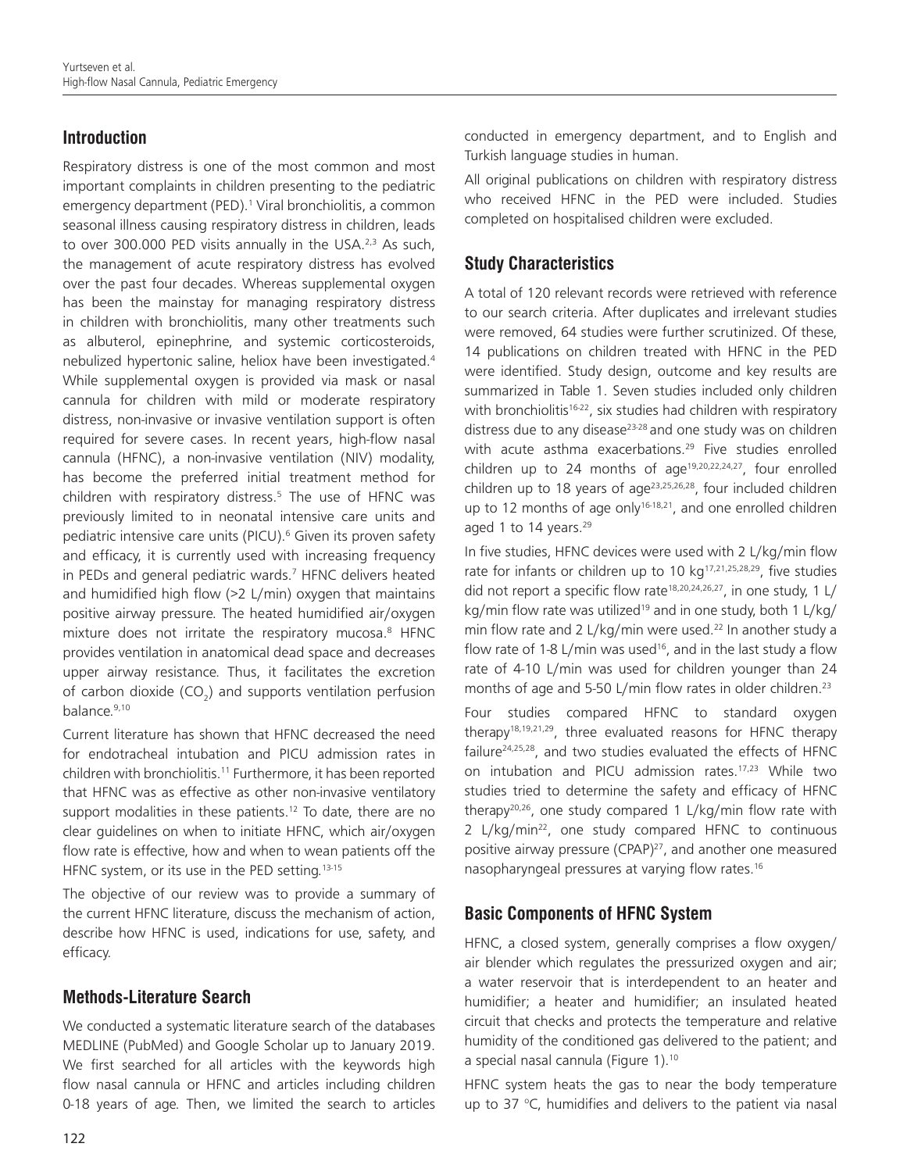# **Introduction**

Respiratory distress is one of the most common and most important complaints in children presenting to the pediatric emergency department (PED).<sup>1</sup> Viral bronchiolitis, a common seasonal illness causing respiratory distress in children, leads to over 300,000 PED visits annually in the USA. $2,3$  As such, the management of acute respiratory distress has evolved over the past four decades. Whereas supplemental oxygen has been the mainstay for managing respiratory distress in children with bronchiolitis, many other treatments such as albuterol, epinephrine, and systemic corticosteroids, nebulized hypertonic saline, heliox have been investigated.4 While supplemental oxygen is provided via mask or nasal cannula for children with mild or moderate respiratory distress, non-invasive or invasive ventilation support is often required for severe cases. In recent years, high-flow nasal cannula (HFNC), a non-invasive ventilation (NIV) modality, has become the preferred initial treatment method for children with respiratory distress.<sup>5</sup> The use of HFNC was previously limited to in neonatal intensive care units and pediatric intensive care units (PICU).<sup>6</sup> Given its proven safety and efficacy, it is currently used with increasing frequency in PEDs and general pediatric wards.7 HFNC delivers heated and humidified high flow (>2 L/min) oxygen that maintains positive airway pressure. The heated humidified air/oxygen mixture does not irritate the respiratory mucosa.<sup>8</sup> HFNC provides ventilation in anatomical dead space and decreases upper airway resistance. Thus, it facilitates the excretion of carbon dioxide (CO<sub>2</sub>) and supports ventilation perfusion balance.9,10

Current literature has shown that HFNC decreased the need for endotracheal intubation and PICU admission rates in children with bronchiolitis.<sup>11</sup> Furthermore, it has been reported that HFNC was as effective as other non-invasive ventilatory support modalities in these patients.<sup>12</sup> To date, there are no clear guidelines on when to initiate HFNC, which air/oxygen flow rate is effective, how and when to wean patients off the HFNC system, or its use in the PED setting.<sup>13-15</sup>

The objective of our review was to provide a summary of the current HFNC literature, discuss the mechanism of action, describe how HFNC is used, indications for use, safety, and efficacy.

# **Methods-Literature Search**

122

We conducted a systematic literature search of the databases MEDLINE (PubMed) and Google Scholar up to January 2019. We first searched for all articles with the keywords high flow nasal cannula or HFNC and articles including children 0-18 years of age. Then, we limited the search to articles

conducted in emergency department, and to English and Turkish language studies in human.

All original publications on children with respiratory distress who received HFNC in the PED were included. Studies completed on hospitalised children were excluded.

# **Study Characteristics**

A total of 120 relevant records were retrieved with reference to our search criteria. After duplicates and irrelevant studies were removed, 64 studies were further scrutinized. Of these, 14 publications on children treated with HFNC in the PED were identified. Study design, outcome and key results are summarized in Table 1. Seven studies included only children with bronchiolitis<sup>16-22</sup>, six studies had children with respiratory distress due to any disease $23-28$  and one study was on children with acute asthma exacerbations.<sup>29</sup> Five studies enrolled children up to 24 months of age<sup>19,20,22,24,27</sup>, four enrolled children up to 18 years of age $23,25,26,28$ , four included children up to 12 months of age only<sup>16-18,21</sup>, and one enrolled children aged 1 to 14 years.<sup>29</sup>

In five studies, HFNC devices were used with 2 L/kg/min flow rate for infants or children up to 10  $kg^{17,21,25,28,29}$ , five studies did not report a specific flow rate<sup>18,20,24,26,27</sup>, in one study, 1 L/ kg/min flow rate was utilized<sup>19</sup> and in one study, both 1 L/kg/ min flow rate and 2 L/kg/min were used.<sup>22</sup> In another study a flow rate of 1-8 L/min was used<sup>16</sup>, and in the last study a flow rate of 4-10 L/min was used for children younger than 24 months of age and 5-50 L/min flow rates in older children.<sup>23</sup>

Four studies compared HFNC to standard oxygen therapy<sup>18,19,21,29</sup>, three evaluated reasons for HFNC therapy failure $24,25,28$ , and two studies evaluated the effects of HFNC on intubation and PICU admission rates.<sup>17,23</sup> While two studies tried to determine the safety and efficacy of HFNC therapy<sup>20,26</sup>, one study compared 1 L/kg/min flow rate with 2 L/kg/min<sup>22</sup>, one study compared HFNC to continuous positive airway pressure (CPAP)<sup>27</sup>, and another one measured nasopharyngeal pressures at varying flow rates.16

# **Basic Components of HFNC System**

HFNC, a closed system, generally comprises a flow oxygen/ air blender which regulates the pressurized oxygen and air; a water reservoir that is interdependent to an heater and humidifier; a heater and humidifier; an insulated heated circuit that checks and protects the temperature and relative humidity of the conditioned gas delivered to the patient; and a special nasal cannula (Figure 1).<sup>10</sup>

HFNC system heats the gas to near the body temperature up to 37  $\degree$ C, humidifies and delivers to the patient via nasal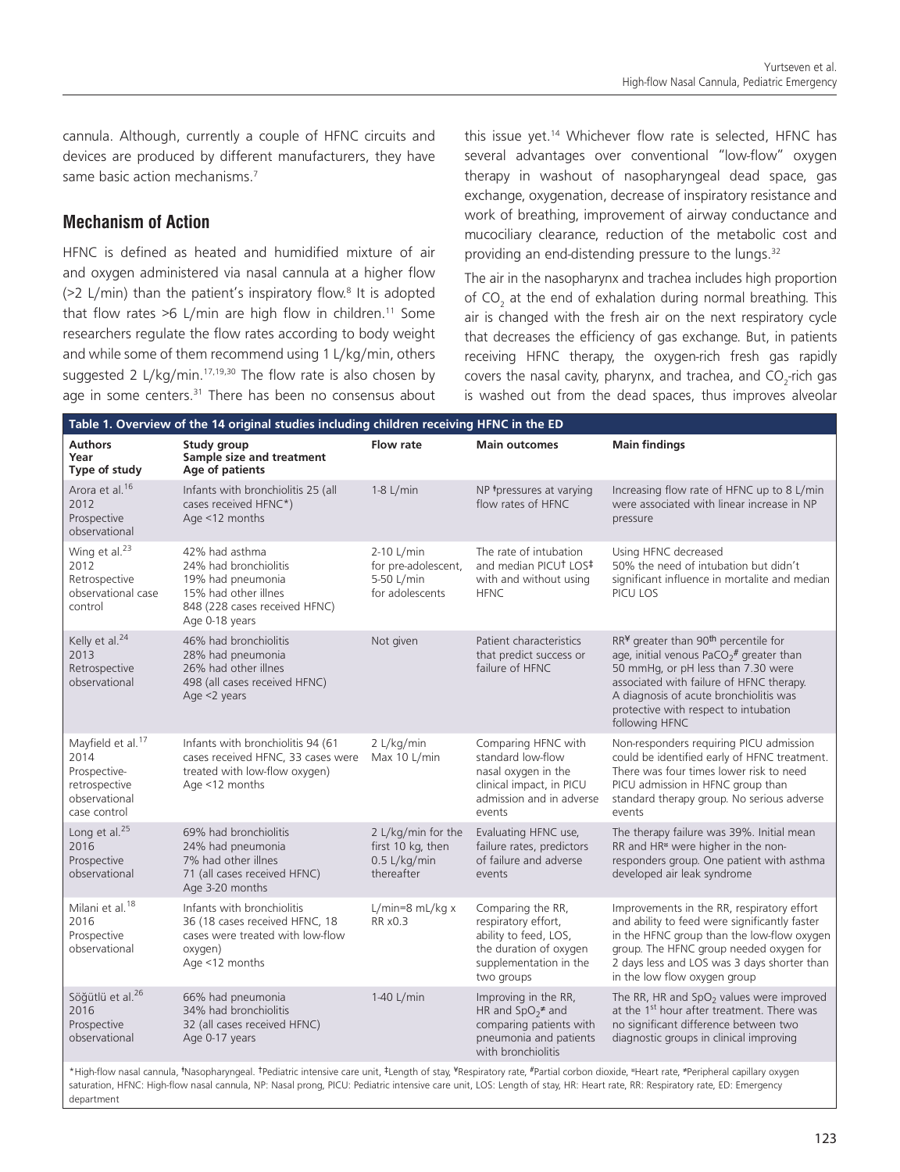cannula. Although, currently a couple of HFNC circuits and devices are produced by different manufacturers, they have same basic action mechanisms.<sup>7</sup>

## **Mechanism of Action**

department

HFNC is defined as heated and humidified mixture of air and oxygen administered via nasal cannula at a higher flow  $($ >2 L/min) than the patient's inspiratory flow.<sup>8</sup> It is adopted that flow rates  $>6$  L/min are high flow in children.<sup>11</sup> Some researchers regulate the flow rates according to body weight and while some of them recommend using 1 L/kg/min, others suggested 2 L/kg/min.<sup>17,19,30</sup> The flow rate is also chosen by age in some centers.<sup>31</sup> There has been no consensus about

this issue yet.<sup>14</sup> Whichever flow rate is selected, HFNC has several advantages over conventional "low-flow" oxygen therapy in washout of nasopharyngeal dead space, gas exchange, oxygenation, decrease of inspiratory resistance and work of breathing, improvement of airway conductance and mucociliary clearance, reduction of the metabolic cost and providing an end-distending pressure to the lungs.<sup>32</sup>

The air in the nasopharynx and trachea includes high proportion of  $CO_2$  at the end of exhalation during normal breathing. This air is changed with the fresh air on the next respiratory cycle that decreases the efficiency of gas exchange. But, in patients receiving HFNC therapy, the oxygen-rich fresh gas rapidly covers the nasal cavity, pharynx, and trachea, and  $CO_{2}$ -rich gas is washed out from the dead spaces, thus improves alveolar

| Table 1. Overview of the 14 original studies including children receiving HFNC in the ED                                                                                                                                                                                                                                                                       |                                                                                                                                         |                                                                         |                                                                                                                                     |                                                                                                                                                                                                                                                                                                             |  |  |  |
|----------------------------------------------------------------------------------------------------------------------------------------------------------------------------------------------------------------------------------------------------------------------------------------------------------------------------------------------------------------|-----------------------------------------------------------------------------------------------------------------------------------------|-------------------------------------------------------------------------|-------------------------------------------------------------------------------------------------------------------------------------|-------------------------------------------------------------------------------------------------------------------------------------------------------------------------------------------------------------------------------------------------------------------------------------------------------------|--|--|--|
| <b>Authors</b><br>Year<br>Type of study                                                                                                                                                                                                                                                                                                                        | Study group<br>Sample size and treatment<br>Age of patients                                                                             | Flow rate                                                               | <b>Main outcomes</b>                                                                                                                | <b>Main findings</b>                                                                                                                                                                                                                                                                                        |  |  |  |
| Arora et al. <sup>16</sup><br>2012<br>Prospective<br>observational                                                                                                                                                                                                                                                                                             | Infants with bronchiolitis 25 (all<br>cases received HFNC*)<br>Age <12 months                                                           | $1-8$ L/min                                                             | NP *pressures at varying<br>flow rates of HFNC                                                                                      | Increasing flow rate of HFNC up to 8 L/min<br>were associated with linear increase in NP<br>pressure                                                                                                                                                                                                        |  |  |  |
| Wing et al. <sup>23</sup><br>2012<br>Retrospective<br>observational case<br>control                                                                                                                                                                                                                                                                            | 42% had asthma<br>24% had bronchiolitis<br>19% had pneumonia<br>15% had other illnes<br>848 (228 cases received HFNC)<br>Age 0-18 years | 2-10 L/min<br>for pre-adolescent,<br>5-50 L/min<br>for adolescents      | The rate of intubation<br>and median PICUT LOS#<br>with and without using<br><b>HFNC</b>                                            | Using HFNC decreased<br>50% the need of intubation but didn't<br>significant influence in mortalite and median<br>PICU LOS                                                                                                                                                                                  |  |  |  |
| Kelly et al. <sup>24</sup><br>2013<br>Retrospective<br>observational                                                                                                                                                                                                                                                                                           | 46% had bronchiolitis<br>28% had pneumonia<br>26% had other illnes<br>498 (all cases received HFNC)<br>Age <2 years                     | Not given                                                               | Patient characteristics<br>that predict success or<br>failure of HFNC                                                               | RR <sup>¥</sup> greater than 90 <sup>th</sup> percentile for<br>age, initial venous PaCO <sub>2</sub> # greater than<br>50 mmHg, or pH less than 7.30 were<br>associated with failure of HFNC therapy.<br>A diagnosis of acute bronchiolitis was<br>protective with respect to intubation<br>following HFNC |  |  |  |
| Mayfield et al. <sup>17</sup><br>2014<br>Prospective-<br>retrospective<br>observational<br>case control                                                                                                                                                                                                                                                        | Infants with bronchiolitis 94 (61<br>cases received HFNC, 33 cases were<br>treated with low-flow oxygen)<br>Age <12 months              | 2 L/kg/min<br>Max 10 L/min                                              | Comparing HFNC with<br>standard low-flow<br>nasal oxygen in the<br>clinical impact, in PICU<br>admission and in adverse<br>events   | Non-responders requiring PICU admission<br>could be identified early of HFNC treatment.<br>There was four times lower risk to need<br>PICU admission in HFNC group than<br>standard therapy group. No serious adverse<br>events                                                                             |  |  |  |
| Long et al. <sup>25</sup><br>2016<br>Prospective<br>observational                                                                                                                                                                                                                                                                                              | 69% had bronchiolitis<br>24% had pneumonia<br>7% had other illnes<br>71 (all cases received HFNC)<br>Age 3-20 months                    | 2 L/kg/min for the<br>first 10 kg, then<br>$0.5$ L/kg/min<br>thereafter | Evaluating HFNC use,<br>failure rates, predictors<br>of failure and adverse<br>events                                               | The therapy failure was 39%. Initial mean<br>RR and HR <sup>®</sup> were higher in the non-<br>responders group. One patient with asthma<br>developed air leak syndrome                                                                                                                                     |  |  |  |
| Milani et al. <sup>18</sup><br>2016<br>Prospective<br>observational                                                                                                                                                                                                                                                                                            | Infants with bronchiolitis<br>36 (18 cases received HFNC, 18<br>cases were treated with low-flow<br>oxygen)<br>Age <12 months           | $L/min=8$ mL/kg $x$<br>RR x0.3                                          | Comparing the RR,<br>respiratory effort,<br>ability to feed, LOS,<br>the duration of oxygen<br>supplementation in the<br>two groups | Improvements in the RR, respiratory effort<br>and ability to feed were significantly faster<br>in the HFNC group than the low-flow oxygen<br>group. The HFNC group needed oxygen for<br>2 days less and LOS was 3 days shorter than<br>in the low flow oxygen group                                         |  |  |  |
| Söğütlü et al. <sup>26</sup><br>2016<br>Prospective<br>observational                                                                                                                                                                                                                                                                                           | 66% had pneumonia<br>34% had bronchiolitis<br>32 (all cases received HFNC)<br>Age 0-17 years                                            | 1-40 L/min                                                              | Improving in the RR,<br>HR and $SpO_2^{\neq}$ and<br>comparing patients with<br>pneumonia and patients<br>with bronchiolitis        | The RR, HR and $SpO2$ values were improved<br>at the 1 <sup>st</sup> hour after treatment. There was<br>no significant difference between two<br>diagnostic groups in clinical improving                                                                                                                    |  |  |  |
| *High-flow nasal cannula, *Nasopharyngeal. †Pediatric intensive care unit, ‡Length of stay, *Respiratory rate, #Partial corbon dioxide, *Heart rate, *Peripheral capillary oxygen<br>saturation, HFNC: High-flow nasal cannula, NP: Nasal prong, PICU: Pediatric intensive care unit, LOS: Length of stay, HR: Heart rate, RR: Respiratory rate, ED: Emergency |                                                                                                                                         |                                                                         |                                                                                                                                     |                                                                                                                                                                                                                                                                                                             |  |  |  |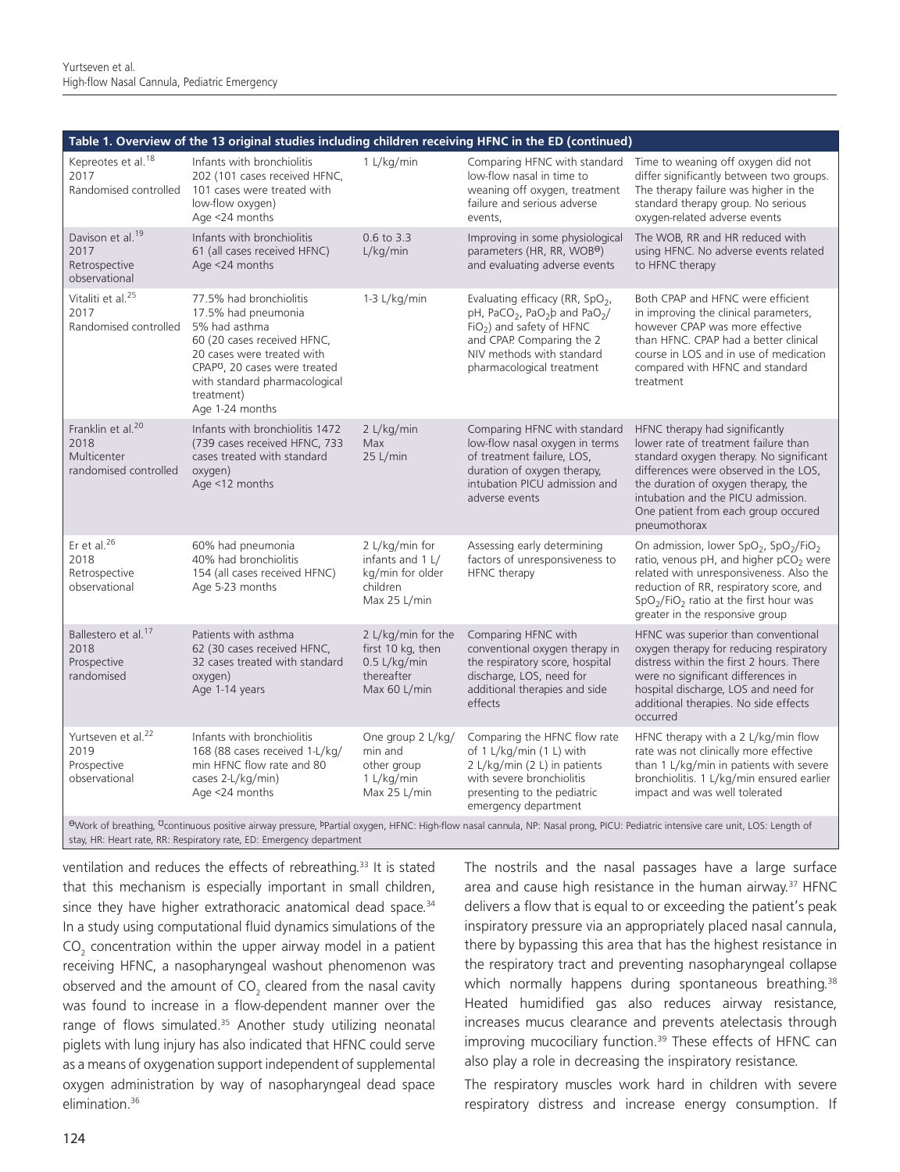| Table 1. Overview of the 13 original studies including children receiving HFNC in the ED (continued)                                                                                       |                                                                                                                                                                                                                                             |                                                                                         |                                                                                                                                                                                                                                        |                                                                                                                                                                                                                                                                                                     |  |  |  |
|--------------------------------------------------------------------------------------------------------------------------------------------------------------------------------------------|---------------------------------------------------------------------------------------------------------------------------------------------------------------------------------------------------------------------------------------------|-----------------------------------------------------------------------------------------|----------------------------------------------------------------------------------------------------------------------------------------------------------------------------------------------------------------------------------------|-----------------------------------------------------------------------------------------------------------------------------------------------------------------------------------------------------------------------------------------------------------------------------------------------------|--|--|--|
| Kepreotes et al. <sup>18</sup><br>2017<br>Randomised controlled                                                                                                                            | Infants with bronchiolitis<br>202 (101 cases received HFNC,<br>101 cases were treated with<br>low-flow oxygen)<br>Age <24 months                                                                                                            | 1 L/kg/min                                                                              | Comparing HFNC with standard<br>low-flow nasal in time to<br>weaning off oxygen, treatment<br>failure and serious adverse<br>events.                                                                                                   | Time to weaning off oxygen did not<br>differ significantly between two groups.<br>The therapy failure was higher in the<br>standard therapy group. No serious<br>oxygen-related adverse events                                                                                                      |  |  |  |
| Davison et al. <sup>19</sup><br>2017<br>Retrospective<br>observational                                                                                                                     | Infants with bronchiolitis<br>61 (all cases received HFNC)<br>Age <24 months                                                                                                                                                                | 0.6 to 3.3<br>L/kg/min                                                                  | Improving in some physiological<br>parameters (HR, RR, WOBO)<br>and evaluating adverse events                                                                                                                                          | The WOB, RR and HR reduced with<br>using HFNC. No adverse events related<br>to HFNC therapy                                                                                                                                                                                                         |  |  |  |
| Vitaliti et al. <sup>25</sup><br>2017<br>Randomised controlled                                                                                                                             | 77.5% had bronchiolitis<br>17.5% had pneumonia<br>5% had asthma<br>60 (20 cases received HFNC,<br>20 cases were treated with<br>CPAP <sup>O</sup> , 20 cases were treated<br>with standard pharmacological<br>treatment)<br>Age 1-24 months | $1-3$ L/kg/min                                                                          | Evaluating efficacy (RR, SpO <sub>2</sub> ,<br>pH, PaCO <sub>2</sub> , PaO <sub>2</sub> b and PaO <sub>2</sub> /<br>$FiO2$ ) and safety of HFNC<br>and CPAP. Comparing the 2<br>NIV methods with standard<br>pharmacological treatment | Both CPAP and HFNC were efficient<br>in improving the clinical parameters,<br>however CPAP was more effective<br>than HFNC. CPAP had a better clinical<br>course in LOS and in use of medication<br>compared with HFNC and standard<br>treatment                                                    |  |  |  |
| Franklin et al. <sup>20</sup><br>2018<br>Multicenter<br>randomised controlled                                                                                                              | Infants with bronchiolitis 1472<br>(739 cases received HFNC, 733<br>cases treated with standard<br>oxygen)<br>Age <12 months                                                                                                                | 2 L/kg/min<br>Max<br>25 L/min                                                           | Comparing HFNC with standard<br>low-flow nasal oxygen in terms<br>of treatment failure, LOS,<br>duration of oxygen therapy,<br>intubation PICU admission and<br>adverse events                                                         | HFNC therapy had significantly<br>lower rate of treatment failure than<br>standard oxygen therapy. No significant<br>differences were observed in the LOS,<br>the duration of oxygen therapy, the<br>intubation and the PICU admission.<br>One patient from each group occured<br>pneumothorax      |  |  |  |
| Er et al. $26$<br>2018<br>Retrospective<br>observational                                                                                                                                   | 60% had pneumonia<br>40% had bronchiolitis<br>154 (all cases received HFNC)<br>Age 5-23 months                                                                                                                                              | 2 L/kg/min for<br>infants and 1 L/<br>kg/min for older<br>children<br>Max 25 L/min      | Assessing early determining<br>factors of unresponsiveness to<br>HFNC therapy                                                                                                                                                          | On admission, lower SpO <sub>2</sub> , SpO <sub>2</sub> /FiO <sub>2</sub><br>ratio, venous pH, and higher pCO <sub>2</sub> were<br>related with unresponsiveness. Also the<br>reduction of RR, respiratory score, and<br>$SpO2/FiO2$ ratio at the first hour was<br>greater in the responsive group |  |  |  |
| Ballestero et al. <sup>17</sup><br>2018<br>Prospective<br>randomised                                                                                                                       | Patients with asthma<br>62 (30 cases received HFNC,<br>32 cases treated with standard<br>oxygen)<br>Age 1-14 years                                                                                                                          | 2 L/kg/min for the<br>first 10 kg, then<br>$0.5$ L/kg/min<br>thereafter<br>Max 60 L/min | Comparing HFNC with<br>conventional oxygen therapy in<br>the respiratory score, hospital<br>discharge, LOS, need for<br>additional therapies and side<br>effects                                                                       | HFNC was superior than conventional<br>oxygen therapy for reducing respiratory<br>distress within the first 2 hours. There<br>were no significant differences in<br>hospital discharge, LOS and need for<br>additional therapies. No side effects<br>occurred                                       |  |  |  |
| Yurtseven et al. <sup>22</sup><br>2019<br>Prospective<br>observational                                                                                                                     | Infants with bronchiolitis<br>168 (88 cases received 1-L/kg/<br>min HFNC flow rate and 80<br>cases 2-L/kg/min)<br>Age <24 months                                                                                                            | One group 2 L/kg/<br>min and<br>other group<br>1 L/kg/min<br>Max 25 L/min               | Comparing the HFNC flow rate<br>of 1 L/kg/min (1 L) with<br>2 L/kg/min (2 L) in patients<br>with severe bronchiolitis<br>presenting to the pediatric<br>emergency department                                                           | HFNC therapy with a 2 L/kg/min flow<br>rate was not clinically more effective<br>than 1 L/kg/min in patients with severe<br>bronchiolitis. 1 L/kg/min ensured earlier<br>impact and was well tolerated                                                                                              |  |  |  |
| OWork of breathing, <sup>U</sup> continuous positive airway pressure, PPartial oxygen, HFNC: High-flow nasal cannula, NP: Nasal prong, PICU: Pediatric intensive care unit, LOS: Length of |                                                                                                                                                                                                                                             |                                                                                         |                                                                                                                                                                                                                                        |                                                                                                                                                                                                                                                                                                     |  |  |  |

stay, HR: Heart rate, RR: Respiratory rate, ED: Emergency department

ventilation and reduces the effects of rebreathing.<sup>33</sup> It is stated that this mechanism is especially important in small children, since they have higher extrathoracic anatomical dead space.<sup>34</sup> In a study using computational fluid dynamics simulations of the  $\textsf{CO}_2$  concentration within the upper airway model in a patient receiving HFNC, a nasopharyngeal washout phenomenon was observed and the amount of CO<sub>2</sub> cleared from the nasal cavity was found to increase in a flow-dependent manner over the range of flows simulated.<sup>35</sup> Another study utilizing neonatal piglets with lung injury has also indicated that HFNC could serve as a means of oxygenation support independent of supplemental oxygen administration by way of nasopharyngeal dead space elimination.<sup>36</sup>

The nostrils and the nasal passages have a large surface area and cause high resistance in the human airway.<sup>37</sup> HFNC delivers a flow that is equal to or exceeding the patient's peak inspiratory pressure via an appropriately placed nasal cannula, there by bypassing this area that has the highest resistance in the respiratory tract and preventing nasopharyngeal collapse which normally happens during spontaneous breathing.<sup>38</sup> Heated humidified gas also reduces airway resistance, increases mucus clearance and prevents atelectasis through improving mucociliary function.<sup>39</sup> These effects of HFNC can also play a role in decreasing the inspiratory resistance.

The respiratory muscles work hard in children with severe respiratory distress and increase energy consumption. If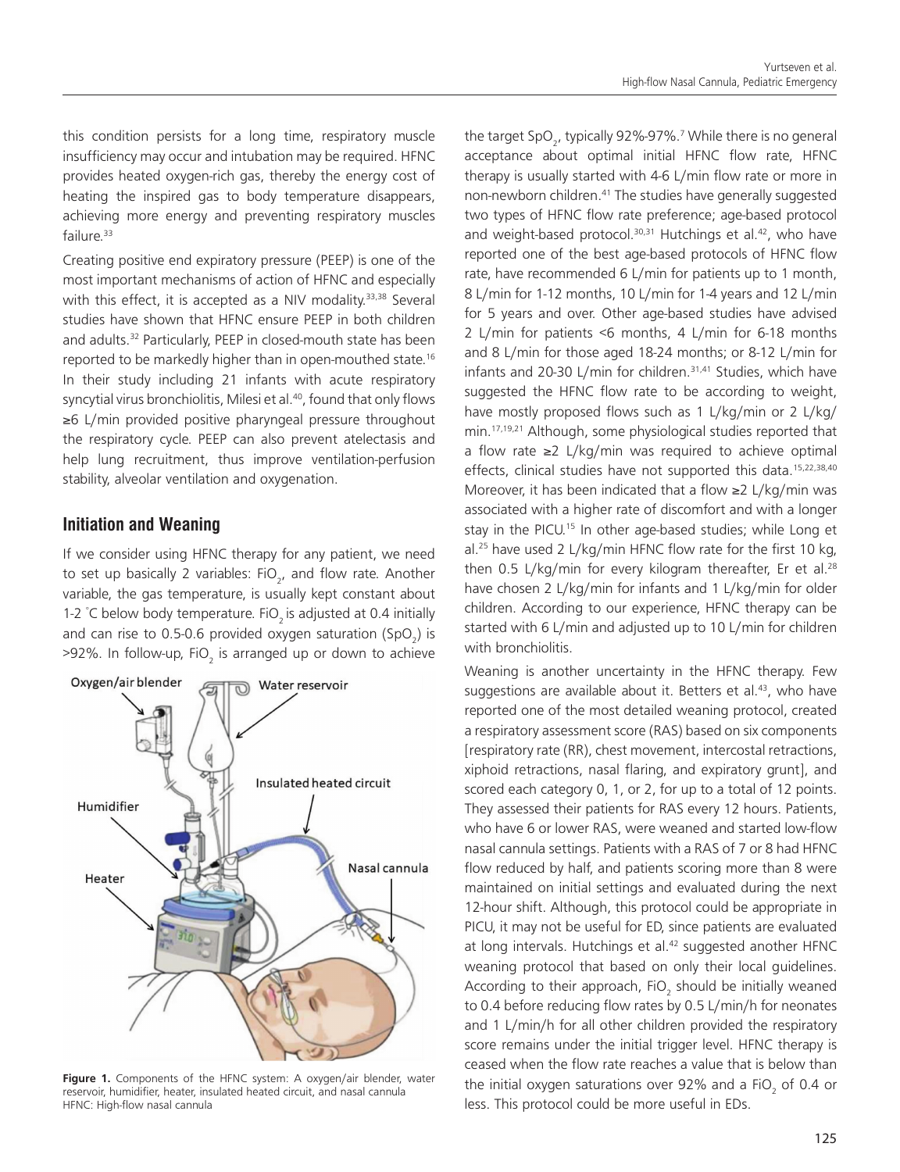this condition persists for a long time, respiratory muscle insufficiency may occur and intubation may be required. HFNC provides heated oxygen-rich gas, thereby the energy cost of heating the inspired gas to body temperature disappears, achieving more energy and preventing respiratory muscles failure.<sup>33</sup>

Creating positive end expiratory pressure (PEEP) is one of the most important mechanisms of action of HFNC and especially with this effect, it is accepted as a NIV modality.<sup>33,38</sup> Several studies have shown that HFNC ensure PEEP in both children and adults.<sup>32</sup> Particularly, PEEP in closed-mouth state has been reported to be markedly higher than in open-mouthed state.<sup>16</sup> In their study including 21 infants with acute respiratory syncytial virus bronchiolitis, Milesi et al.<sup>40</sup>, found that only flows ≥6 L/min provided positive pharyngeal pressure throughout the respiratory cycle. PEEP can also prevent atelectasis and help lung recruitment, thus improve ventilation-perfusion stability, alveolar ventilation and oxygenation.

### **Initiation and Weaning**

If we consider using HFNC therapy for any patient, we need to set up basically 2 variables: FiO<sub>2</sub>, and flow rate. Another variable, the gas temperature, is usually kept constant about 1-2 °C below body temperature. FiO<sub>2</sub> is adjusted at 0.4 initially and can rise to 0.5-0.6 provided oxygen saturation (SpO<sub>2</sub>) is >92%. In follow-up, FiO<sub>2</sub> is arranged up or down to achieve



Figure 1. Components of the HFNC system: A oxygen/air blender, water reservoir, humidifier, heater, insulated heated circuit, and nasal cannula HFNC: High-flow nasal cannula

the target SpO<sub>2</sub>, typically 92%-97%.<sup>7</sup> While there is no general acceptance about optimal initial HFNC flow rate, HFNC therapy is usually started with 4-6 L/min flow rate or more in non-newborn children.<sup>41</sup> The studies have generally suggested two types of HFNC flow rate preference; age-based protocol and weight-based protocol.<sup>30,31</sup> Hutchings et al.<sup>42</sup>, who have reported one of the best age-based protocols of HFNC flow rate, have recommended 6 L/min for patients up to 1 month, 8 L/min for 1-12 months, 10 L/min for 1-4 years and 12 L/min for 5 years and over. Other age-based studies have advised 2 L/min for patients <6 months, 4 L/min for 6-18 months and 8 L/min for those aged 18-24 months; or 8-12 L/min for infants and 20-30 L/min for children.<sup>31,41</sup> Studies, which have suggested the HFNC flow rate to be according to weight, have mostly proposed flows such as 1 L/kg/min or 2 L/kg/ min.<sup>17,19,21</sup> Although, some physiological studies reported that a flow rate ≥2 L/kg/min was required to achieve optimal effects, clinical studies have not supported this data.<sup>15,22,38,40</sup> Moreover, it has been indicated that a flow ≥2 L/kg/min was associated with a higher rate of discomfort and with a longer stay in the PICU.<sup>15</sup> In other age-based studies; while Long et al.<sup>25</sup> have used 2 L/kg/min HFNC flow rate for the first 10 kg, then  $0.5$  L/kg/min for every kilogram thereafter, Er et al.<sup>28</sup> have chosen 2 L/kg/min for infants and 1 L/kg/min for older children. According to our experience, HFNC therapy can be started with 6 L/min and adjusted up to 10 L/min for children with bronchiolitis.

Weaning is another uncertainty in the HFNC therapy. Few suggestions are available about it. Betters et al. $43$ , who have reported one of the most detailed weaning protocol, created a respiratory assessment score (RAS) based on six components [respiratory rate (RR), chest movement, intercostal retractions, xiphoid retractions, nasal flaring, and expiratory grunt], and scored each category 0, 1, or 2, for up to a total of 12 points. They assessed their patients for RAS every 12 hours. Patients, who have 6 or lower RAS, were weaned and started low-flow nasal cannula settings. Patients with a RAS of 7 or 8 had HFNC flow reduced by half, and patients scoring more than 8 were maintained on initial settings and evaluated during the next 12-hour shift. Although, this protocol could be appropriate in PICU, it may not be useful for ED, since patients are evaluated at long intervals. Hutchings et al.<sup>42</sup> suggested another HFNC weaning protocol that based on only their local guidelines. According to their approach, FiO<sub>2</sub> should be initially weaned to 0.4 before reducing flow rates by 0.5 L/min/h for neonates and 1 L/min/h for all other children provided the respiratory score remains under the initial trigger level. HFNC therapy is ceased when the flow rate reaches a value that is below than the initial oxygen saturations over 92% and a FiO<sub>2</sub> of 0.4 or less. This protocol could be more useful in EDs.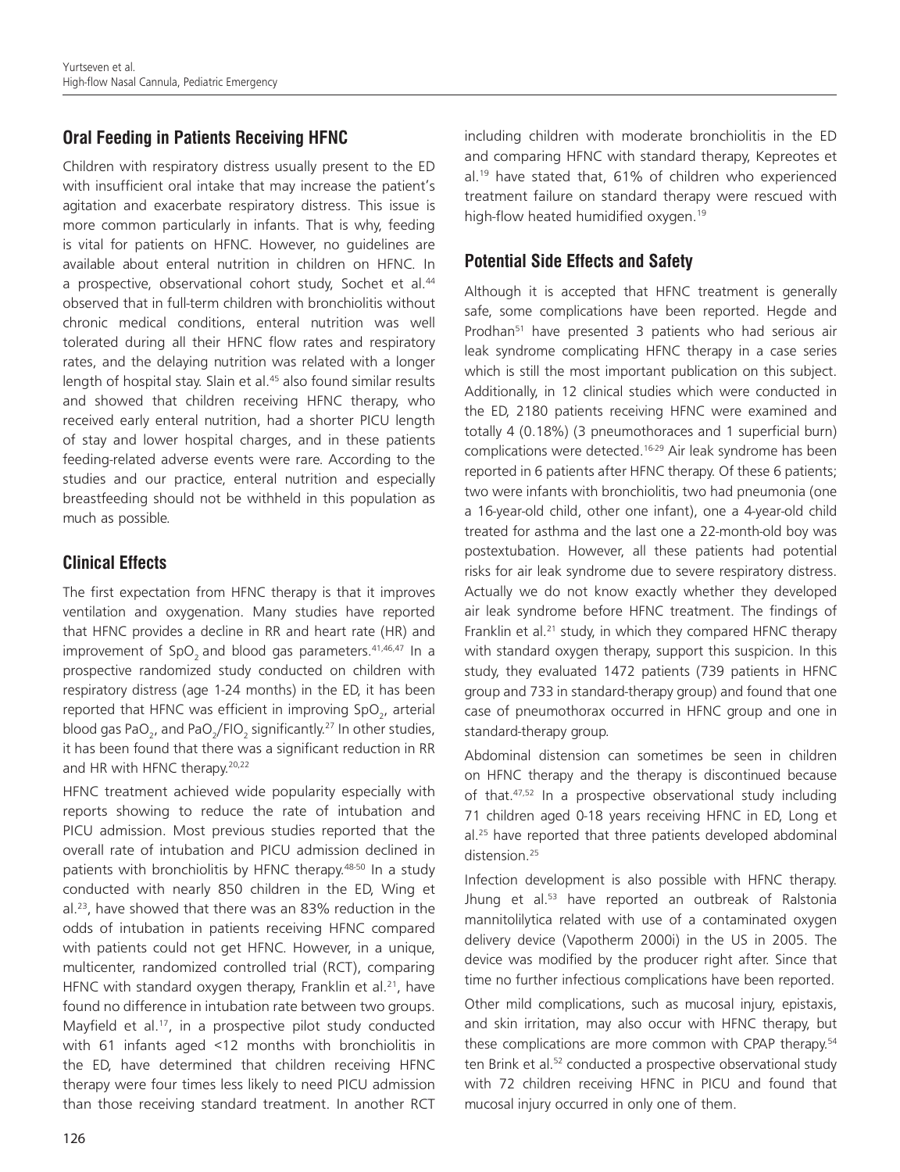# **Oral Feeding in Patients Receiving HFNC**

Children with respiratory distress usually present to the ED with insufficient oral intake that may increase the patient's agitation and exacerbate respiratory distress. This issue is more common particularly in infants. That is why, feeding is vital for patients on HFNC. However, no guidelines are available about enteral nutrition in children on HFNC. In a prospective, observational cohort study, Sochet et al.<sup>44</sup> observed that in full-term children with bronchiolitis without chronic medical conditions, enteral nutrition was well tolerated during all their HFNC flow rates and respiratory rates, and the delaying nutrition was related with a longer length of hospital stay. Slain et al.<sup>45</sup> also found similar results and showed that children receiving HFNC therapy, who received early enteral nutrition, had a shorter PICU length of stay and lower hospital charges, and in these patients feeding-related adverse events were rare. According to the studies and our practice, enteral nutrition and especially breastfeeding should not be withheld in this population as much as possible.

# **Clinical Effects**

The first expectation from HFNC therapy is that it improves ventilation and oxygenation. Many studies have reported that HFNC provides a decline in RR and heart rate (HR) and improvement of SpO<sub>2</sub> and blood gas parameters.<sup>41,46,47</sup> In a prospective randomized study conducted on children with respiratory distress (age 1-24 months) in the ED, it has been reported that HFNC was efficient in improving SpO<sub>2</sub>, arterial blood gas PaO<sub>2</sub>, and PaO<sub>2</sub>/FIO<sub>2</sub> significantly.<sup>27</sup> In other studies, it has been found that there was a significant reduction in RR and HR with HFNC therapy.<sup>20,22</sup>

HFNC treatment achieved wide popularity especially with reports showing to reduce the rate of intubation and PICU admission. Most previous studies reported that the overall rate of intubation and PICU admission declined in patients with bronchiolitis by HFNC therapy.<sup>48-50</sup> In a study conducted with nearly 850 children in the ED, Wing et al.23, have showed that there was an 83% reduction in the odds of intubation in patients receiving HFNC compared with patients could not get HFNC. However, in a unique, multicenter, randomized controlled trial (RCT), comparing HFNC with standard oxygen therapy, Franklin et al.<sup>21</sup>, have found no difference in intubation rate between two groups. Mayfield et al.<sup>17</sup>, in a prospective pilot study conducted with 61 infants aged <12 months with bronchiolitis in the ED, have determined that children receiving HFNC therapy were four times less likely to need PICU admission than those receiving standard treatment. In another RCT including children with moderate bronchiolitis in the ED and comparing HFNC with standard therapy, Kepreotes et al.19 have stated that, 61% of children who experienced treatment failure on standard therapy were rescued with high-flow heated humidified oxygen.<sup>19</sup>

# **Potential Side Effects and Safety**

Although it is accepted that HFNC treatment is generally safe, some complications have been reported. Hegde and Prodhan<sup>51</sup> have presented 3 patients who had serious air leak syndrome complicating HFNC therapy in a case series which is still the most important publication on this subject. Additionally, in 12 clinical studies which were conducted in the ED, 2180 patients receiving HFNC were examined and totally 4 (0.18%) (3 pneumothoraces and 1 superficial burn) complications were detected.<sup>16-29</sup> Air leak syndrome has been reported in 6 patients after HFNC therapy. Of these 6 patients; two were infants with bronchiolitis, two had pneumonia (one a 16-year-old child, other one infant), one a 4-year-old child treated for asthma and the last one a 22-month-old boy was postextubation. However, all these patients had potential risks for air leak syndrome due to severe respiratory distress. Actually we do not know exactly whether they developed air leak syndrome before HFNC treatment. The findings of Franklin et al.<sup>21</sup> study, in which they compared HFNC therapy with standard oxygen therapy, support this suspicion. In this study, they evaluated 1472 patients (739 patients in HFNC group and 733 in standard-therapy group) and found that one case of pneumothorax occurred in HFNC group and one in standard-therapy group.

Abdominal distension can sometimes be seen in children on HFNC therapy and the therapy is discontinued because of that.<sup>47,52</sup> In a prospective observational study including 71 children aged 0-18 years receiving HFNC in ED, Long et al.<sup>25</sup> have reported that three patients developed abdominal distension.<sup>25</sup>

Infection development is also possible with HFNC therapy. Jhung et al.<sup>53</sup> have reported an outbreak of Ralstonia mannitolilytica related with use of a contaminated oxygen delivery device (Vapotherm 2000i) in the US in 2005. The device was modified by the producer right after. Since that time no further infectious complications have been reported.

Other mild complications, such as mucosal injury, epistaxis, and skin irritation, may also occur with HFNC therapy, but these complications are more common with CPAP therapy.<sup>54</sup> ten Brink et al.<sup>52</sup> conducted a prospective observational study with 72 children receiving HFNC in PICU and found that mucosal injury occurred in only one of them.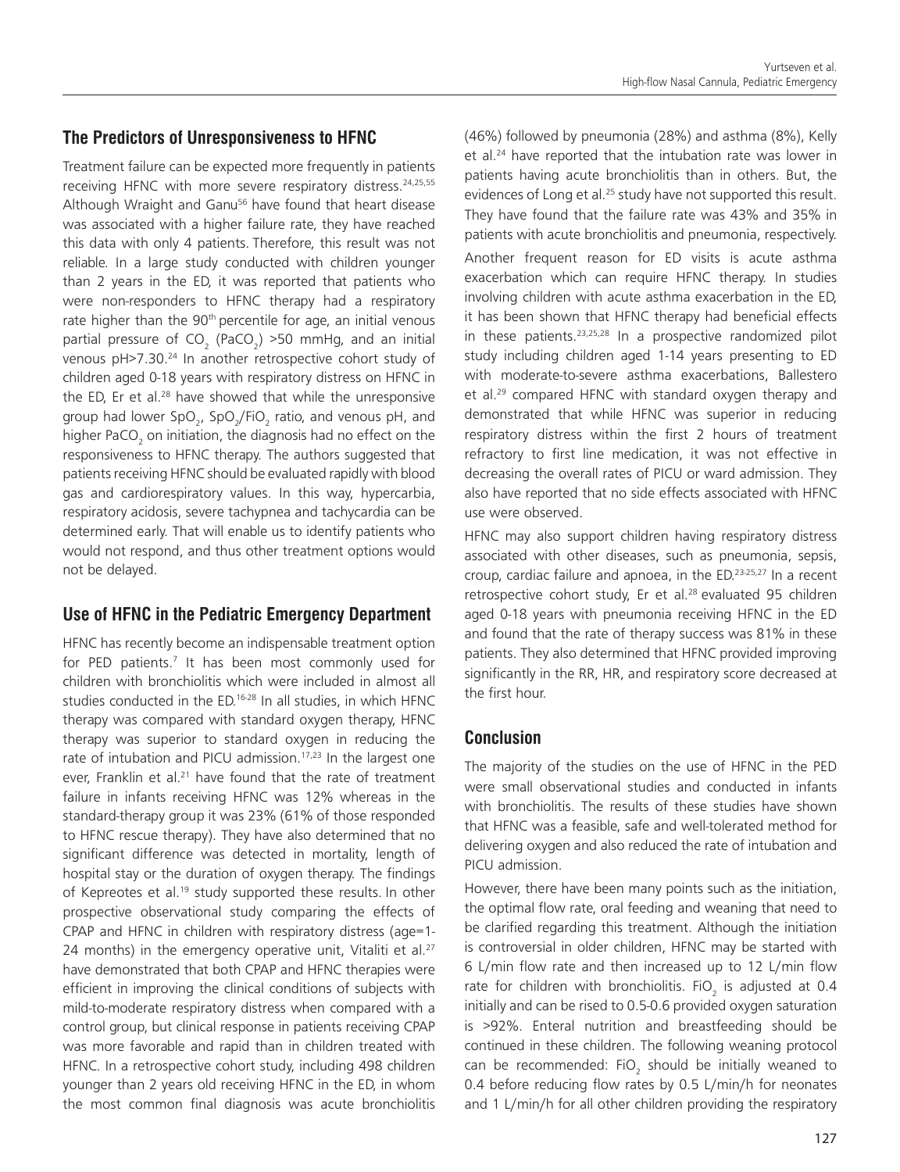### **The Predictors of Unresponsiveness to HFNC**

Treatment failure can be expected more frequently in patients receiving HFNC with more severe respiratory distress.<sup>24,25,55</sup> Although Wraight and Ganu<sup>56</sup> have found that heart disease was associated with a higher failure rate, they have reached this data with only 4 patients. Therefore, this result was not reliable. In a large study conducted with children younger than 2 years in the ED, it was reported that patients who were non-responders to HFNC therapy had a respiratory rate higher than the 90<sup>th</sup> percentile for age, an initial venous partial pressure of  $CO_2$  (PaCO<sub>2</sub>) >50 mmHg, and an initial venous pH>7.30.24 In another retrospective cohort study of children aged 0-18 years with respiratory distress on HFNC in the ED, Er et al. $28$  have showed that while the unresponsive group had lower SpO<sub>2</sub>, SpO<sub>2</sub>/FiO<sub>2</sub> ratio, and venous pH, and higher PaCO $_{\rm _2}$  on initiation, the diagnosis had no effect on the responsiveness to HFNC therapy. The authors suggested that patients receiving HFNC should be evaluated rapidly with blood gas and cardiorespiratory values. In this way, hypercarbia, respiratory acidosis, severe tachypnea and tachycardia can be determined early. That will enable us to identify patients who would not respond, and thus other treatment options would not be delayed.

# **Use of HFNC in the Pediatric Emergency Department**

HFNC has recently become an indispensable treatment option for PED patients.<sup>7</sup> It has been most commonly used for children with bronchiolitis which were included in almost all studies conducted in the ED.<sup>16-28</sup> In all studies, in which HFNC therapy was compared with standard oxygen therapy, HFNC therapy was superior to standard oxygen in reducing the rate of intubation and PICU admission.<sup>17,23</sup> In the largest one ever. Franklin et al.<sup>21</sup> have found that the rate of treatment failure in infants receiving HFNC was 12% whereas in the standard-therapy group it was 23% (61% of those responded to HFNC rescue therapy). They have also determined that no significant difference was detected in mortality, length of hospital stay or the duration of oxygen therapy. The findings of Kepreotes et al.<sup>19</sup> study supported these results. In other prospective observational study comparing the effects of CPAP and HFNC in children with respiratory distress (age=1- 24 months) in the emergency operative unit, Vitaliti et al. $27$ have demonstrated that both CPAP and HFNC therapies were efficient in improving the clinical conditions of subjects with mild-to-moderate respiratory distress when compared with a control group, but clinical response in patients receiving CPAP was more favorable and rapid than in children treated with HFNC. In a retrospective cohort study, including 498 children younger than 2 years old receiving HFNC in the ED, in whom the most common final diagnosis was acute bronchiolitis

(46%) followed by pneumonia (28%) and asthma (8%), Kelly et al.<sup>24</sup> have reported that the intubation rate was lower in patients having acute bronchiolitis than in others. But, the evidences of Long et al.<sup>25</sup> study have not supported this result. They have found that the failure rate was 43% and 35% in patients with acute bronchiolitis and pneumonia, respectively. Another frequent reason for ED visits is acute asthma exacerbation which can require HFNC therapy. In studies involving children with acute asthma exacerbation in the ED, it has been shown that HFNC therapy had beneficial effects in these patients.<sup>23,25,28</sup> In a prospective randomized pilot study including children aged 1-14 years presenting to ED with moderate-to-severe asthma exacerbations, Ballestero et al.<sup>29</sup> compared HFNC with standard oxygen therapy and demonstrated that while HFNC was superior in reducing respiratory distress within the first 2 hours of treatment refractory to first line medication, it was not effective in decreasing the overall rates of PICU or ward admission. They also have reported that no side effects associated with HFNC use were observed.

HFNC may also support children having respiratory distress associated with other diseases, such as pneumonia, sepsis, croup, cardiac failure and apnoea, in the ED.23-25,27 In a recent retrospective cohort study, Er et al.<sup>28</sup> evaluated 95 children aged 0-18 years with pneumonia receiving HFNC in the ED and found that the rate of therapy success was 81% in these patients. They also determined that HFNC provided improving significantly in the RR, HR, and respiratory score decreased at the first hour.

# **Conclusion**

The majority of the studies on the use of HFNC in the PED were small observational studies and conducted in infants with bronchiolitis. The results of these studies have shown that HFNC was a feasible, safe and well-tolerated method for delivering oxygen and also reduced the rate of intubation and PICU admission.

However, there have been many points such as the initiation, the optimal flow rate, oral feeding and weaning that need to be clarified regarding this treatment. Although the initiation is controversial in older children, HFNC may be started with 6 L/min flow rate and then increased up to 12 L/min flow rate for children with bronchiolitis. FiO<sub>2</sub> is adjusted at 0.4 initially and can be rised to 0.5-0.6 provided oxygen saturation is >92%. Enteral nutrition and breastfeeding should be continued in these children. The following weaning protocol can be recommended:  $FiO_2$  should be initially weaned to 0.4 before reducing flow rates by 0.5 L/min/h for neonates and 1 L/min/h for all other children providing the respiratory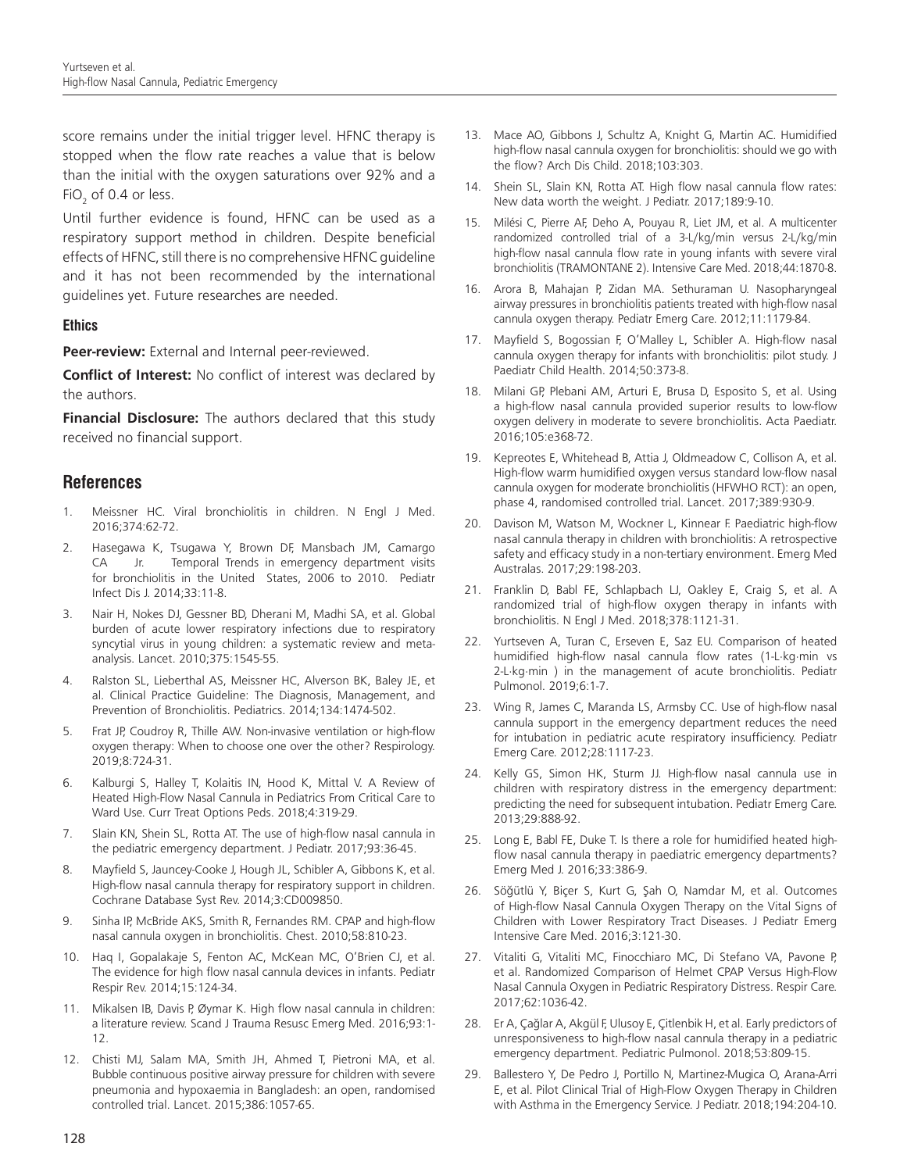score remains under the initial trigger level. HFNC therapy is stopped when the flow rate reaches a value that is below than the initial with the oxygen saturations over 92% and a FiO<sub>2</sub> of 0.4 or less.

Until further evidence is found, HFNC can be used as a respiratory support method in children. Despite beneficial effects of HFNC, still there is no comprehensive HFNC guideline and it has not been recommended by the international guidelines yet. Future researches are needed.

#### **Ethics**

**Peer-review:** External and Internal peer-reviewed.

**Conflict of Interest:** No conflict of interest was declared by the authors.

**Financial Disclosure:** The authors declared that this study received no financial support.

#### **References**

- 1. Meissner HC. Viral bronchiolitis in children. N Engl J Med. 2016;374:62-72.
- 2. Hasegawa K, Tsugawa Y, Brown DF, Mansbach JM, Camargo CA Jr. Temporal Trends in emergency department visits for bronchiolitis in the United States, 2006 to 2010. Pediatr Infect Dis J. 2014;33:11-8.
- 3. Nair H, Nokes DJ, Gessner BD, Dherani M, Madhi SA, et al. Global burden of acute lower respiratory infections due to respiratory syncytial virus in young children: a systematic review and metaanalysis. Lancet. 2010;375:1545-55.
- 4. Ralston SL, Lieberthal AS, Meissner HC, Alverson BK, Baley JE, et al. Clinical Practice Guideline: The Diagnosis, Management, and Prevention of Bronchiolitis. Pediatrics. 2014;134:1474-502.
- 5. Frat JP, Coudroy R, Thille AW. Non-invasive ventilation or high-flow oxygen therapy: When to choose one over the other? Respirology. 2019;8:724-31.
- 6. Kalburgi S, Halley T, Kolaitis IN, Hood K, Mittal V. A Review of Heated High-Flow Nasal Cannula in Pediatrics From Critical Care to Ward Use. Curr Treat Options Peds. 2018;4:319-29.
- 7. Slain KN, Shein SL, Rotta AT. The use of high-flow nasal cannula in the pediatric emergency department. J Pediatr. 2017;93:36-45.
- 8. Mayfield S, Jauncey-Cooke J, Hough JL, Schibler A, Gibbons K, et al. High-flow nasal cannula therapy for respiratory support in children. Cochrane Database Syst Rev. 2014;3:CD009850.
- 9. Sinha IP, McBride AKS, Smith R, Fernandes RM. CPAP and high-flow nasal cannula oxygen in bronchiolitis. Chest. 2010;58:810-23.
- 10. Haq I, Gopalakaje S, Fenton AC, McKean MC, O'Brien CJ, et al. The evidence for high flow nasal cannula devices in infants. Pediatr Respir Rev. 2014;15:124-34.
- 11. Mikalsen IB, Davis P, Øymar K. High flow nasal cannula in children: a literature review. Scand J Trauma Resusc Emerg Med. 2016;93:1- 12.
- 12. Chisti MJ, Salam MA, Smith JH, Ahmed T, Pietroni MA, et al. Bubble continuous positive airway pressure for children with severe pneumonia and hypoxaemia in Bangladesh: an open, randomised controlled trial. Lancet. 2015;386:1057-65.
- 13. Mace AO, Gibbons J, Schultz A, Knight G, Martin AC. Humidified high-flow nasal cannula oxygen for bronchiolitis: should we go with the flow? Arch Dis Child. 2018;103:303.
- 14. Shein SL, Slain KN, Rotta AT. High flow nasal cannula flow rates: New data worth the weight. J Pediatr. 2017;189:9-10.
- 15. Milési C, Pierre AF, Deho A, Pouyau R, Liet JM, et al. A multicenter randomized controlled trial of a 3-L/kg/min versus 2-L/kg/min high-flow nasal cannula flow rate in young infants with severe viral bronchiolitis (TRAMONTANE 2). Intensive Care Med. 2018;44:1870-8.
- 16. Arora B, Mahajan P, Zidan MA. Sethuraman U. Nasopharyngeal airway pressures in bronchiolitis patients treated with high-flow nasal cannula oxygen therapy. Pediatr Emerg Care. 2012;11:1179-84.
- 17. Mayfield S, Bogossian F, O'Malley L, Schibler A. High-flow nasal cannula oxygen therapy for infants with bronchiolitis: pilot study. J Paediatr Child Health. 2014;50:373-8.
- 18. Milani GP, Plebani AM, Arturi E, Brusa D, Esposito S, et al. Using a high-flow nasal cannula provided superior results to low-flow oxygen delivery in moderate to severe bronchiolitis. Acta Paediatr. 2016;105:e368-72.
- Kepreotes E, Whitehead B, Attia J, Oldmeadow C, Collison A, et al. High-flow warm humidified oxygen versus standard low-flow nasal cannula oxygen for moderate bronchiolitis (HFWHO RCT): an open, phase 4, randomised controlled trial. Lancet. 2017;389:930-9.
- 20. Davison M, Watson M, Wockner L, Kinnear F. Paediatric high-flow nasal cannula therapy in children with bronchiolitis: A retrospective safety and efficacy study in a non-tertiary environment. Emerg Med Australas. 2017;29:198-203.
- 21. Franklin D, Babl FE, Schlapbach LJ, Oakley E, Craig S, et al. A randomized trial of high-flow oxygen therapy in infants with bronchiolitis. N Engl J Med. 2018;378:1121-31.
- 22. Yurtseven A, Turan C, Erseven E, Saz EU. Comparison of heated humidified high-flow nasal cannula flow rates (1-L·kg·min vs 2-L·kg·min ) in the management of acute bronchiolitis. Pediatr Pulmonol. 2019;6:1-7.
- 23. Wing R, James C, Maranda LS, Armsby CC. Use of high-flow nasal cannula support in the emergency department reduces the need for intubation in pediatric acute respiratory insufficiency. Pediatr Emerg Care. 2012;28:1117-23.
- 24. Kelly GS, Simon HK, Sturm JJ. High-flow nasal cannula use in children with respiratory distress in the emergency department: predicting the need for subsequent intubation. Pediatr Emerg Care. 2013;29:888-92.
- 25. Long E, Babl FE, Duke T. Is there a role for humidified heated highflow nasal cannula therapy in paediatric emergency departments? Emerg Med J. 2016;33:386-9.
- 26. Söğütlü Y, Biçer S, Kurt G, Şah O, Namdar M, et al. Outcomes of High-flow Nasal Cannula Oxygen Therapy on the Vital Signs of Children with Lower Respiratory Tract Diseases. J Pediatr Emerg Intensive Care Med. 2016;3:121-30.
- 27. Vitaliti G, Vitaliti MC, Finocchiaro MC, Di Stefano VA, Pavone P, et al. Randomized Comparison of Helmet CPAP Versus High-Flow Nasal Cannula Oxygen in Pediatric Respiratory Distress. Respir Care. 2017;62:1036-42.
- 28. Er A, Çağlar A, Akgül F, Ulusoy E, Çitlenbik H, et al. Early predictors of unresponsiveness to high-flow nasal cannula therapy in a pediatric emergency department. Pediatric Pulmonol. 2018;53:809-15.
- 29. Ballestero Y, De Pedro J, Portillo N, Martinez-Mugica O, Arana-Arri E, et al. Pilot Clinical Trial of High-Flow Oxygen Therapy in Children with Asthma in the Emergency Service. J Pediatr. 2018;194:204-10.